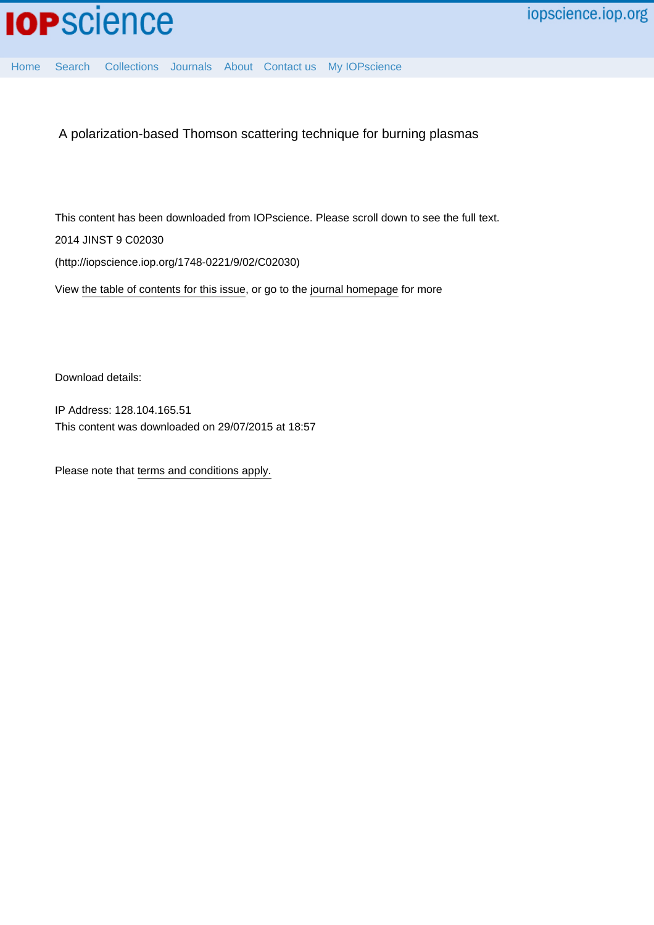

[Home](http://iopscience.iop.org/) [Search](http://iopscience.iop.org/search) [Collections](http://iopscience.iop.org/collections) [Journals](http://iopscience.iop.org/journals) [About](http://iopscience.iop.org/page/aboutioppublishing) [Contact us](http://iopscience.iop.org/contact) [My IOPscience](http://iopscience.iop.org/myiopscience)

A polarization-based Thomson scattering technique for burning plasmas

This content has been downloaded from IOPscience. Please scroll down to see the full text. 2014 JINST 9 C02030 (http://iopscience.iop.org/1748-0221/9/02/C02030)

View [the table of contents for this issue](http://iopscience.iop.org/1748-0221/9/02), or go to the [journal homepage](http://iopscience.iop.org/1748-0221) for more

Download details:

IP Address: 128.104.165.51 This content was downloaded on 29/07/2015 at 18:57

Please note that [terms and conditions apply.](iopscience.iop.org/page/terms)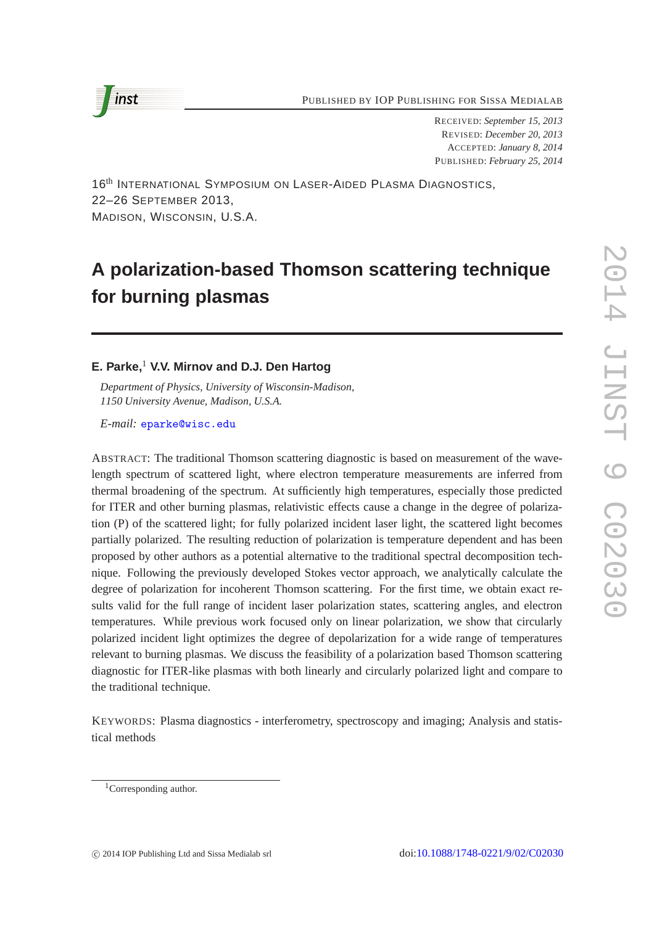PUBLISHED BY IOP PUBLISHING FOR SISSA MEDIALAB



RECEIVED: *September 15, 2013* REVISED: *December 20, 2013* ACCEPTED: *January 8, 2014* PUBLISHED: *February 25, 2014*

16<sup>th</sup> INTERNATIONAL SYMPOSIUM ON LASER-AIDED PLASMA DIAGNOSTICS, 22–26 SEPTEMBER 2013, MADISON, WISCONSIN, U.S.A.

# **A polarization-based Thomson scattering technique for burning plasmas**

# **E. Parke,**<sup>1</sup> **V.V. Mirnov and D.J. Den Hartog**

*Department of Physics, University of Wisconsin-Madison, 1150 University Avenue, Madison, U.S.A.*

*E-mail:* [eparke@wisc.edu](mailto:eparke@wisc.edu)

ABSTRACT: The traditional Thomson scattering diagnostic is based on measurement of the wavelength spectrum of scattered light, where electron temperature measurements are inferred from thermal broadening of the spectrum. At sufficiently high temperatures, especially those predicted for ITER and other burning plasmas, relativistic effects cause a change in the degree of polarization (P) of the scattered light; for fully polarized incident laser light, the scattered light becomes partially polarized. The resulting reduction of polarization is temperature dependent and has been proposed by other authors as a potential alternative to the traditional spectral decomposition technique. Following the previously developed Stokes vector approach, we analytically calculate the degree of polarization for incoherent Thomson scattering. For the first time, we obtain exact results valid for the full range of incident laser polarization states, scattering angles, and electron temperatures. While previous work focused only on linear polarization, we show that circularly polarized incident light optimizes the degree of depolarization for a wide range of temperatures relevant to burning plasmas. We discuss the feasibility of a polarization based Thomson scattering diagnostic for ITER-like plasmas with both linearly and circularly polarized light and compare to the traditional technique.

KEYWORDS: Plasma diagnostics - interferometry, spectroscopy and imaging; Analysis and statistical methods

<sup>&</sup>lt;sup>1</sup>Corresponding author.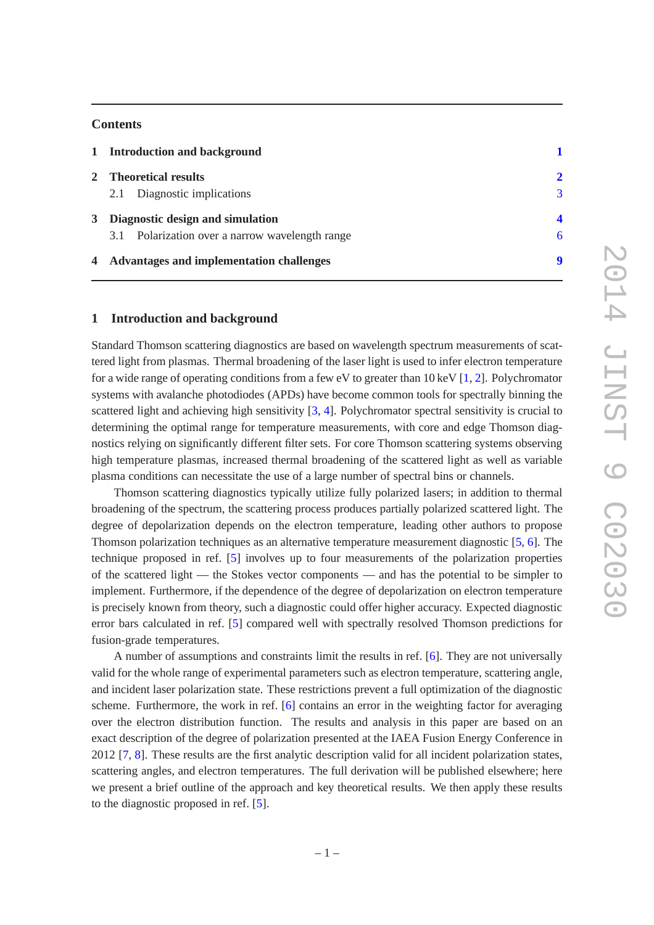# **Contents**

|   | 1 Introduction and background                   |               |
|---|-------------------------------------------------|---------------|
|   | 2 Theoretical results                           | $\mathcal{D}$ |
|   | 2.1 Diagnostic implications                     | 3             |
| 3 | Diagnostic design and simulation                |               |
|   | 3.1 Polarization over a narrow wavelength range | 6             |
|   | 4 Advantages and implementation challenges      |               |

## <span id="page-2-0"></span>**1 Introduction and background**

Standard Thomson scattering diagnostics are based on wavelength spectrum measurements of scattered light from plasmas. Thermal broadening of the laser light is used to infer electron temperature for a wide range of operating conditions from a few eV to greater than 10 keV [\[1](#page-11-0), [2\]](#page-11-1). Polychromator systems with avalanche photodiodes (APDs) have become common tools for spectrally binning the scattered light and achieving high sensitivity [\[3](#page-11-2), [4](#page-11-3)]. Polychromator spectral sensitivity is crucial to determining the optimal range for temperature measurements, with core and edge Thomson diagnostics relying on significantly different filter sets. For core Thomson scattering systems observing high temperature plasmas, increased thermal broadening of the scattered light as well as variable plasma conditions can necessitate the use of a large number of spectral bins or channels.

Thomson scattering diagnostics typically utilize fully polarized lasers; in addition to thermal broadening of the spectrum, the scattering process produces partially polarized scattered light. The degree of depolarization depends on the electron temperature, leading other authors to propose Thomson polarization techniques as an alternative temperature measurement diagnostic [\[5,](#page-11-4) [6](#page-11-5)]. The technique proposed in ref. [\[5](#page-11-4)] involves up to four measurements of the polarization properties of the scattered light — the Stokes vector components — and has the potential to be simpler to implement. Furthermore, if the dependence of the degree of depolarization on electron temperature is precisely known from theory, such a diagnostic could offer higher accuracy. Expected diagnostic error bars calculated in ref. [\[5](#page-11-4)] compared well with spectrally resolved Thomson predictions for fusion-grade temperatures.

A number of assumptions and constraints limit the results in ref. [\[6](#page-11-5)]. They are not universally valid for the whole range of experimental parameters such as electron temperature, scattering angle, and incident laser polarization state. These restrictions prevent a full optimization of the diagnostic scheme. Furthermore, the work in ref. [\[6](#page-11-5)] contains an error in the weighting factor for averaging over the electron distribution function. The results and analysis in this paper are based on an exact description of the degree of polarization presented at the IAEA Fusion Energy Conference in 2012 [\[7](#page-11-6), [8](#page-11-7)]. These results are the first analytic description valid for all incident polarization states, scattering angles, and electron temperatures. The full derivation will be published elsewhere; here we present a brief outline of the approach and key theoretical results. We then apply these results to the diagnostic proposed in ref. [\[5\]](#page-11-4).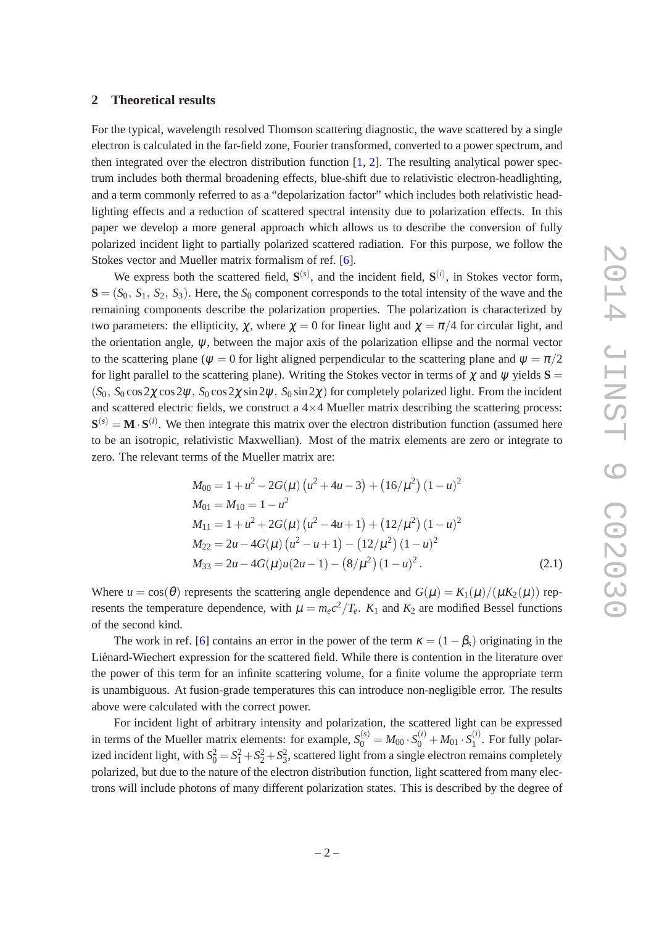#### <span id="page-3-0"></span>**2 Theoretical results**

For the typical, wavelength resolved Thomson scattering diagnostic, the wave scattered by a single electron is calculated in the far-field zone, Fourier transformed, converted to a power spectrum, and then integrated over the electron distribution function  $[1, 2]$  $[1, 2]$  $[1, 2]$  $[1, 2]$ . The resulting analytical power spectrum includes both thermal broadening effects, blue-shift due to relativistic electron-headlighting, and a term commonly referred to as a "depolarization factor" which includes both relativistic headlighting effects and a reduction of scattered spectral intensity due to polarization effects. In this paper we develop a more general approach which allows us to describe the conversion of fully polarized incident light to partially polarized scattered radiation. For this purpose, we follow the Stokes vector and Mueller matrix formalism of ref. [\[6\]](#page-11-5).

We express both the scattered field,  $S^{(s)}$ , and the incident field,  $S^{(i)}$ , in Stokes vector form,  $S = (S_0, S_1, S_2, S_3)$ . Here, the  $S_0$  component corresponds to the total intensity of the wave and the remaining components describe the polarization properties. The polarization is characterized by two parameters: the ellipticity,  $\chi$ , where  $\chi = 0$  for linear light and  $\chi = \pi/4$  for circular light, and the orientation angle,  $\psi$ , between the major axis of the polarization ellipse and the normal vector to the scattering plane ( $\psi = 0$  for light aligned perpendicular to the scattering plane and  $\psi = \pi/2$ for light parallel to the scattering plane). Writing the Stokes vector in terms of  $\chi$  and  $\psi$  yields  $S =$  $(S_0, S_0 \cos 2\chi \cos 2\psi, S_0 \cos 2\chi \sin 2\psi, S_0 \sin 2\chi)$  for completely polarized light. From the incident and scattered electric fields, we construct a  $4\times4$  Mueller matrix describing the scattering process:  $S^{(s)} = M \cdot S^{(i)}$ . We then integrate this matrix over the electron distribution function (assumed here to be an isotropic, relativistic Maxwellian). Most of the matrix elements are zero or integrate to zero. The relevant terms of the Mueller matrix are:

$$
M_{00} = 1 + u^2 - 2G(\mu) (u^2 + 4u - 3) + (16/\mu^2) (1 - u)^2
$$
  
\n
$$
M_{01} = M_{10} = 1 - u^2
$$
  
\n
$$
M_{11} = 1 + u^2 + 2G(\mu) (u^2 - 4u + 1) + (12/\mu^2) (1 - u)^2
$$
  
\n
$$
M_{22} = 2u - 4G(\mu) (u^2 - u + 1) - (12/\mu^2) (1 - u)^2
$$
  
\n
$$
M_{33} = 2u - 4G(\mu)u(2u - 1) - (8/\mu^2) (1 - u)^2.
$$
\n(2.1)

Where  $u = cos(\theta)$  represents the scattering angle dependence and  $G(\mu) = K_1(\mu)/(\mu K_2(\mu))$  represents the temperature dependence, with  $\mu = m_e c^2 / T_e$ .  $K_1$  and  $K_2$  are modified Bessel functions of the second kind.

The work in ref. [\[6\]](#page-11-5) contains an error in the power of the term  $\kappa = (1 - \beta_s)$  originating in the Liénard-Wiechert expression for the scattered field. While there is contention in the literature over the power of this term for an infinite scattering volume, for a finite volume the appropriate term is unambiguous. At fusion-grade temperatures this can introduce non-negligible error. The results above were calculated with the correct power.

For incident light of arbitrary intensity and polarization, the scattered light can be expressed in terms of the Mueller matrix elements: for example,  $S_0^{(s)} = M_{00} \cdot S_0^{(i)} + M_{01} \cdot S_1^{(i)}$  $1^{(1)}$ . For fully polarized incident light, with  $S_0^2 = S_1^2 + S_2^2 + S_3^2$ , scattered light from a single electron remains completely polarized, but due to the nature of the electron distribution function, light scattered from many electrons will include photons of many different polarization states. This is described by the degree of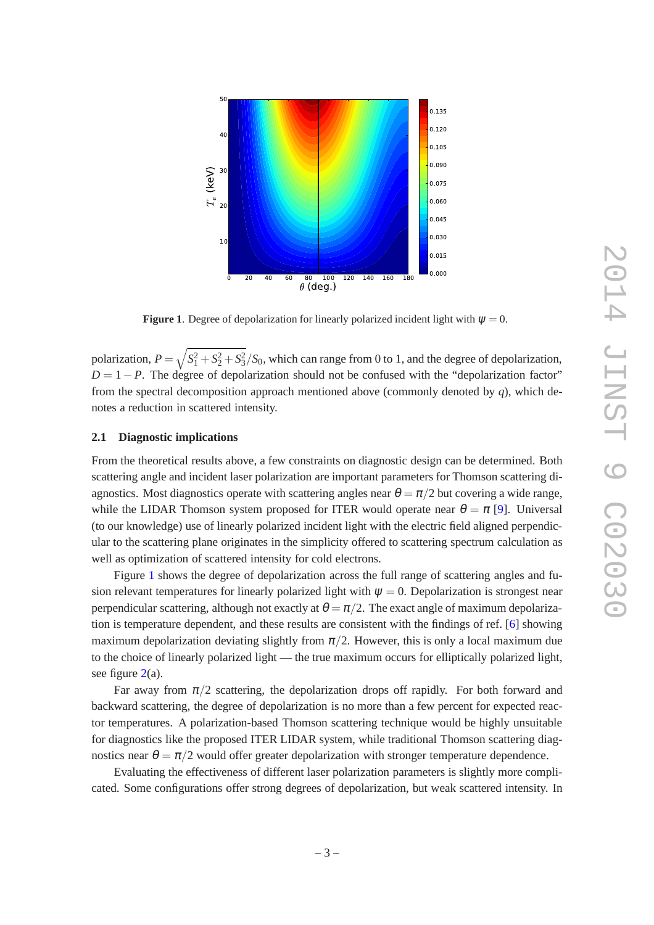

<span id="page-4-1"></span>**Figure 1.** Degree of depolarization for linearly polarized incident light with  $\psi = 0$ .

polarization,  $P = \sqrt{S_1^2 + S_2^2 + S_3^2} / S_0$ , which can range from 0 to 1, and the degree of depolarization,  $D = 1 - P$ . The degree of depolarization should not be confused with the "depolarization factor" from the spectral decomposition approach mentioned above (commonly denoted by *q*), which denotes a reduction in scattered intensity.

#### <span id="page-4-0"></span>**2.1 Diagnostic implications**

From the theoretical results above, a few constraints on diagnostic design can be determined. Both scattering angle and incident laser polarization are important parameters for Thomson scattering diagnostics. Most diagnostics operate with scattering angles near  $\theta = \pi/2$  but covering a wide range, while the LIDAR Thomson system proposed for ITER would operate near  $\theta = \pi$  [\[9](#page-11-8)]. Universal (to our knowledge) use of linearly polarized incident light with the electric field aligned perpendicular to the scattering plane originates in the simplicity offered to scattering spectrum calculation as well as optimization of scattered intensity for cold electrons.

Figure [1](#page-4-1) shows the degree of depolarization across the full range of scattering angles and fusion relevant temperatures for linearly polarized light with  $\psi = 0$ . Depolarization is strongest near perpendicular scattering, although not exactly at  $\theta = \pi/2$ . The exact angle of maximum depolarization is temperature dependent, and these results are consistent with the findings of ref. [\[6\]](#page-11-5) showing maximum depolarization deviating slightly from  $\pi/2$ . However, this is only a local maximum due to the choice of linearly polarized light — the true maximum occurs for elliptically polarized light, see figure  $2(a)$  $2(a)$ .

Far away from  $\pi/2$  scattering, the depolarization drops off rapidly. For both forward and backward scattering, the degree of depolarization is no more than a few percent for expected reactor temperatures. A polarization-based Thomson scattering technique would be highly unsuitable for diagnostics like the proposed ITER LIDAR system, while traditional Thomson scattering diagnostics near  $\theta = \pi/2$  would offer greater depolarization with stronger temperature dependence.

Evaluating the effectiveness of different laser polarization parameters is slightly more complicated. Some configurations offer strong degrees of depolarization, but weak scattered intensity. In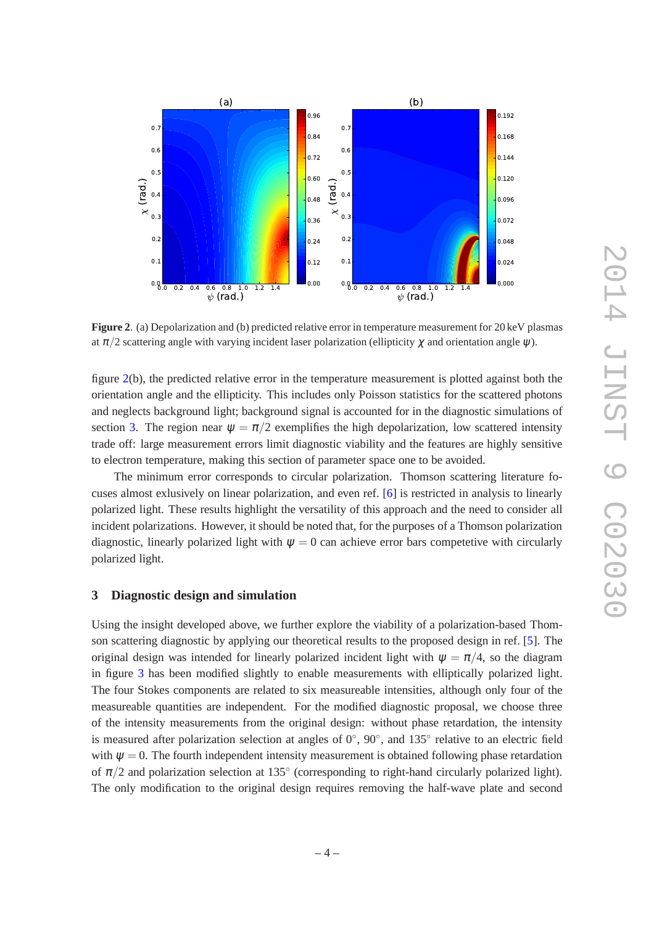

<span id="page-5-1"></span>**Figure 2**. (a) Depolarization and (b) predicted relative error in temperature measurement for 20 keV plasmas at  $\pi/2$  scattering angle with varying incident laser polarization (ellipticity  $\gamma$  and orientation angle  $\psi$ ).

figure [2\(](#page-5-1)b), the predicted relative error in the temperature measurement is plotted against both the orientation angle and the ellipticity. This includes only Poisson statistics for the scattered photons and neglects background light; background signal is accounted for in the diagnostic simulations of section [3.](#page-5-0) The region near  $\psi = \pi/2$  exemplifies the high depolarization, low scattered intensity trade off: large measurement errors limit diagnostic viability and the features are highly sensitive to electron temperature, making this section of parameter space one to be avoided.

The minimum error corresponds to circular polarization. Thomson scattering literature focuses almost exlusively on linear polarization, and even ref. [\[6](#page-11-5)] is restricted in analysis to linearly polarized light. These results highlight the versatility of this approach and the need to consider all incident polarizations. However, it should be noted that, for the purposes of a Thomson polarization diagnostic, linearly polarized light with  $\psi = 0$  can achieve error bars competetive with circularly polarized light.

# <span id="page-5-0"></span>**3 Diagnostic design and simulation**

Using the insight developed above, we further explore the viability of a polarization-based Thomson scattering diagnostic by applying our theoretical results to the proposed design in ref. [\[5](#page-11-4)]. The original design was intended for linearly polarized incident light with  $\psi = \pi/4$ , so the diagram in figure [3](#page-6-0) has been modified slightly to enable measurements with elliptically polarized light. The four Stokes components are related to six measureable intensities, although only four of the measureable quantities are independent. For the modified diagnostic proposal, we choose three of the intensity measurements from the original design: without phase retardation, the intensity is measured after polarization selection at angles of  $0^{\circ}$ ,  $90^{\circ}$ , and  $135^{\circ}$  relative to an electric field with  $\psi = 0$ . The fourth independent intensity measurement is obtained following phase retardation of  $\pi/2$  and polarization selection at 135 $^{\circ}$  (corresponding to right-hand circularly polarized light). The only modification to the original design requires removing the half-wave plate and second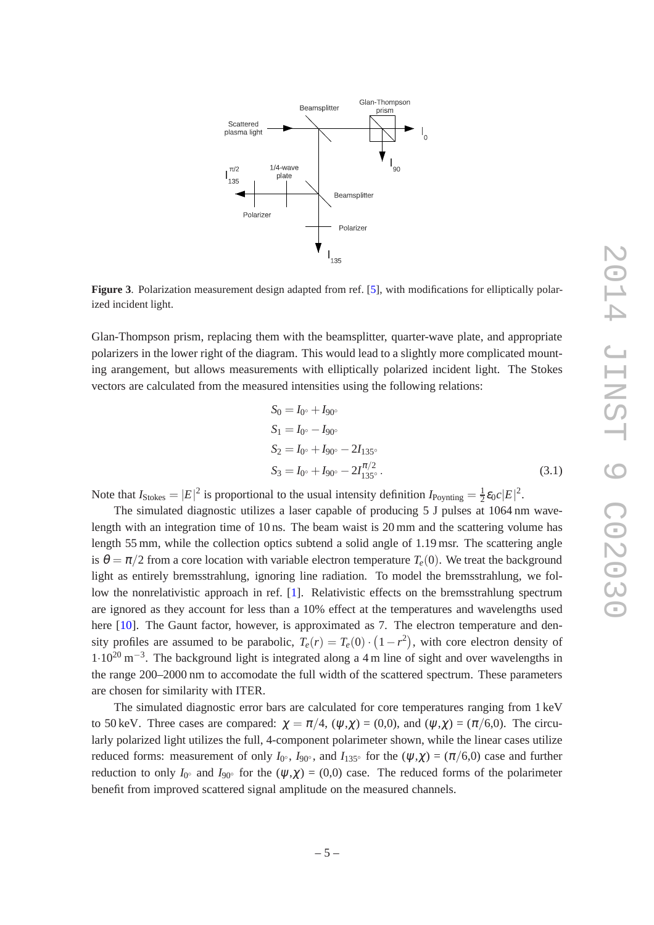

<span id="page-6-0"></span>**Figure 3.** Polarization measurement design adapted from ref. [\[5](#page-11-4)], with modifications for elliptically polarized incident light.

Glan-Thompson prism, replacing them with the beamsplitter, quarter-wave plate, and appropriate polarizers in the lower right of the diagram. This would lead to a slightly more complicated mounting arangement, but allows measurements with elliptically polarized incident light. The Stokes vectors are calculated from the measured intensities using the following relations:

$$
S_0 = I_{0^{\circ}} + I_{90^{\circ}}
$$
  
\n
$$
S_1 = I_{0^{\circ}} - I_{90^{\circ}}
$$
  
\n
$$
S_2 = I_{0^{\circ}} + I_{90^{\circ}} - 2I_{135^{\circ}}
$$
  
\n
$$
S_3 = I_{0^{\circ}} + I_{90^{\circ}} - 2I_{135^{\circ}}^{\pi/2}.
$$
  
\n(3.1)

Note that  $I_{\text{Stokes}} = |E|^2$  is proportional to the usual intensity definition  $I_{\text{Poynting}} = \frac{1}{2}$  $\frac{1}{2} \varepsilon_0 c |E|^2$ .

The simulated diagnostic utilizes a laser capable of producing 5 J pulses at 1064 nm wavelength with an integration time of 10 ns. The beam waist is 20 mm and the scattering volume has length 55 mm, while the collection optics subtend a solid angle of 1.19 msr. The scattering angle is  $\theta = \pi/2$  from a core location with variable electron temperature  $T_e(0)$ . We treat the background light as entirely bremsstrahlung, ignoring line radiation. To model the bremsstrahlung, we follow the nonrelativistic approach in ref. [\[1](#page-11-0)]. Relativistic effects on the bremsstrahlung spectrum are ignored as they account for less than a 10% effect at the temperatures and wavelengths used here [\[10](#page-11-9)]. The Gaunt factor, however, is approximated as 7. The electron temperature and density profiles are assumed to be parabolic,  $T_e(r) = T_e(0) \cdot (1 - r^2)$ , with core electron density of  $1·10<sup>20</sup>$  m<sup>-3</sup>. The background light is integrated along a 4 m line of sight and over wavelengths in the range 200–2000 nm to accomodate the full width of the scattered spectrum. These parameters are chosen for similarity with ITER.

The simulated diagnostic error bars are calculated for core temperatures ranging from 1 keV to 50 keV. Three cases are compared:  $\gamma = \pi/4$ ,  $(\psi, \gamma) = (0,0)$ , and  $(\psi, \gamma) = (\pi/6,0)$ . The circularly polarized light utilizes the full, 4-component polarimeter shown, while the linear cases utilize reduced forms: measurement of only  $I_{0}$ <sup>o</sup>,  $I_{90}$ <sup>o</sup>, and  $I_{135}$ <sup>o</sup> for the  $(\psi,\chi) = (\pi/6,0)$  case and further reduction to only  $I_{0}$ <sup>°</sup> and  $I_{90}$ <sup>°</sup> for the  $(\psi,\chi) = (0,0)$  case. The reduced forms of the polarimeter benefit from improved scattered signal amplitude on the measured channels.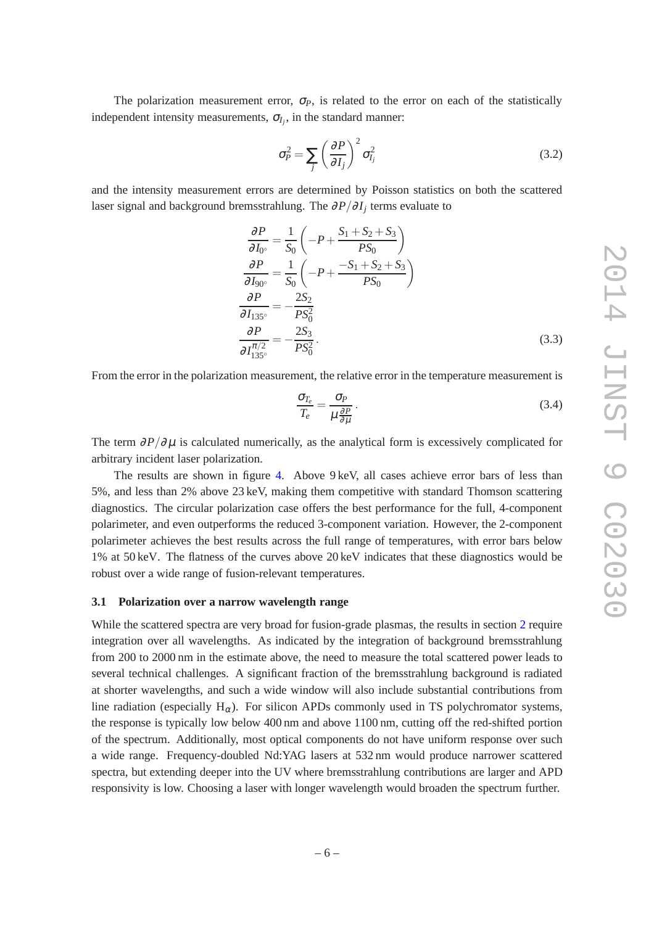The polarization measurement error,  $\sigma_P$ , is related to the error on each of the statistically independent intensity measurements,  $\sigma_{I_j}$ , in the standard manner:

$$
\sigma_P^2 = \sum_j \left(\frac{\partial P}{\partial I_j}\right)^2 \sigma_{I_j}^2 \tag{3.2}
$$

and the intensity measurement errors are determined by Poisson statistics on both the scattered laser signal and background bremsstrahlung. The <sup>∂</sup>*P*/∂*I<sup>j</sup>* terms evaluate to

$$
\frac{\partial P}{\partial I_{0^{\circ}}} = \frac{1}{S_0} \left( -P + \frac{S_1 + S_2 + S_3}{PS_0} \right)
$$
\n
$$
\frac{\partial P}{\partial I_{90^{\circ}}} = \frac{1}{S_0} \left( -P + \frac{-S_1 + S_2 + S_3}{PS_0} \right)
$$
\n
$$
\frac{\partial P}{\partial I_{135^{\circ}}} = -\frac{2S_2}{PS_0^2}
$$
\n
$$
\frac{\partial P}{\partial I_{135^{\circ}}} = -\frac{2S_3}{PS_0^2}.
$$
\n(3.3)

From the error in the polarization measurement, the relative error in the temperature measurement is

$$
\frac{\sigma_{T_e}}{T_e} = \frac{\sigma_P}{\mu \frac{\partial P}{\partial \mu}}.
$$
\n(3.4)

The term  $\partial P/\partial \mu$  is calculated numerically, as the analytical form is excessively complicated for arbitrary incident laser polarization.

The results are shown in figure [4.](#page-8-0) Above 9 keV, all cases achieve error bars of less than 5%, and less than 2% above 23 keV, making them competitive with standard Thomson scattering diagnostics. The circular polarization case offers the best performance for the full, 4-component polarimeter, and even outperforms the reduced 3-component variation. However, the 2-component polarimeter achieves the best results across the full range of temperatures, with error bars below 1% at 50 keV. The flatness of the curves above 20 keV indicates that these diagnostics would be robust over a wide range of fusion-relevant temperatures.

#### <span id="page-7-0"></span>**3.1 Polarization over a narrow wavelength range**

While the scattered spectra are very broad for fusion-grade plasmas, the results in section [2](#page-3-0) require integration over all wavelengths. As indicated by the integration of background bremsstrahlung from 200 to 2000 nm in the estimate above, the need to measure the total scattered power leads to several technical challenges. A significant fraction of the bremsstrahlung background is radiated at shorter wavelengths, and such a wide window will also include substantial contributions from line radiation (especially  $H_{\alpha}$ ). For silicon APDs commonly used in TS polychromator systems, the response is typically low below 400 nm and above 1100 nm, cutting off the red-shifted portion of the spectrum. Additionally, most optical components do not have uniform response over such a wide range. Frequency-doubled Nd:YAG lasers at 532 nm would produce narrower scattered spectra, but extending deeper into the UV where bremsstrahlung contributions are larger and APD responsivity is low. Choosing a laser with longer wavelength would broaden the spectrum further.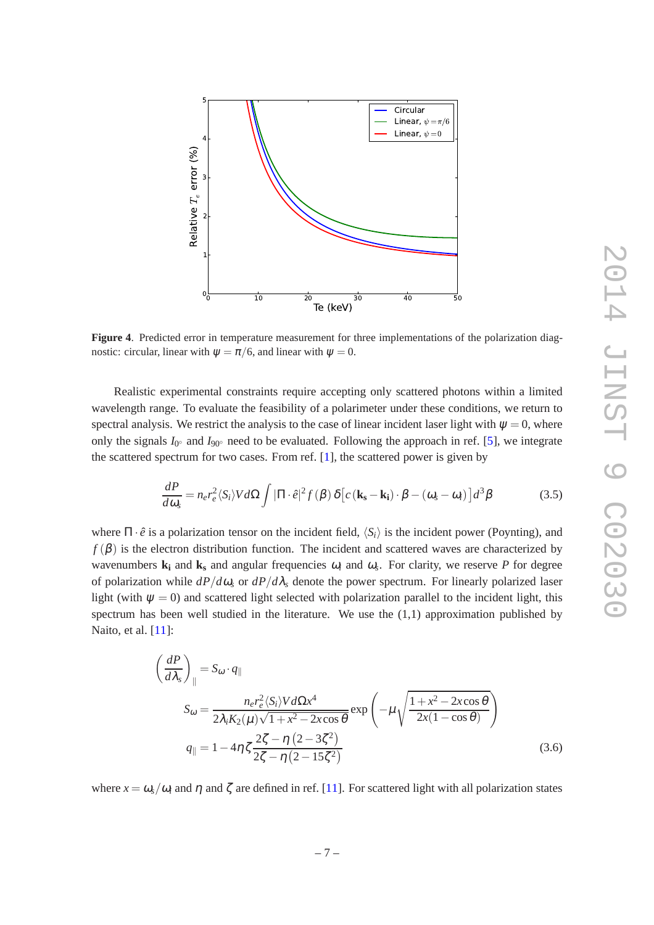

<span id="page-8-0"></span>**Figure 4**. Predicted error in temperature measurement for three implementations of the polarization diagnostic: circular, linear with  $\psi = \pi/6$ , and linear with  $\psi = 0$ .

Realistic experimental constraints require accepting only scattered photons within a limited wavelength range. To evaluate the feasibility of a polarimeter under these conditions, we return to spectral analysis. We restrict the analysis to the case of linear incident laser light with  $\psi = 0$ , where only the signals  $I_{0}$ <sup>°</sup> and  $I_{90}$ <sup>°</sup> need to be evaluated. Following the approach in ref. [\[5\]](#page-11-4), we integrate the scattered spectrum for two cases. From ref. [\[1](#page-11-0)], the scattered power is given by

<span id="page-8-1"></span>
$$
\frac{dP}{d\omega_s} = n_e r_e^2 \langle S_i \rangle V d\Omega \int |\Pi \cdot \hat{e}|^2 f(\beta) \, \delta \left[ c \left( \mathbf{k_s} - \mathbf{k_i} \right) \cdot \beta - (\omega_s - \omega_i) \right] d^3 \beta \tag{3.5}
$$

where  $\Pi \cdot \hat{e}$  is a polarization tensor on the incident field,  $\langle S_i \rangle$  is the incident power (Poynting), and  $f(\beta)$  is the electron distribution function. The incident and scattered waves are characterized by wavenumbers  $\bf{k}_i$  and  $\bf{k}_s$  and angular frequencies  $\omega_i$  and  $\omega_s$ . For clarity, we reserve *P* for degree of polarization while  $dP/d\omega_s$  or  $dP/d\lambda_s$  denote the power spectrum. For linearly polarized laser light (with  $\psi = 0$ ) and scattered light selected with polarization parallel to the incident light, this spectrum has been well studied in the literature. We use the  $(1,1)$  approximation published by Naito, et al. [\[11](#page-11-10)]:

$$
\left(\frac{dP}{d\lambda_{s}}\right)_{\parallel} = S_{\omega} \cdot q_{\parallel}
$$
\n
$$
S_{\omega} = \frac{n_{e}r_{e}^{2}\langle S_{i}\rangle V d\Omega x^{4}}{2\lambda_{i}K_{2}(\mu)\sqrt{1+x^{2}-2x\cos\theta}} \exp\left(-\mu\sqrt{\frac{1+x^{2}-2x\cos\theta}{2x(1-\cos\theta)}}\right)
$$
\n
$$
q_{\parallel} = 1 - 4\eta \zeta \frac{2\zeta - \eta (2-3\zeta^{2})}{2\zeta - \eta (2-15\zeta^{2})}
$$
\n(3.6)

where  $x = \omega_s/\omega_i$  and  $\eta$  and  $\zeta$  are defined in ref. [\[11](#page-11-10)]. For scattered light with all polarization states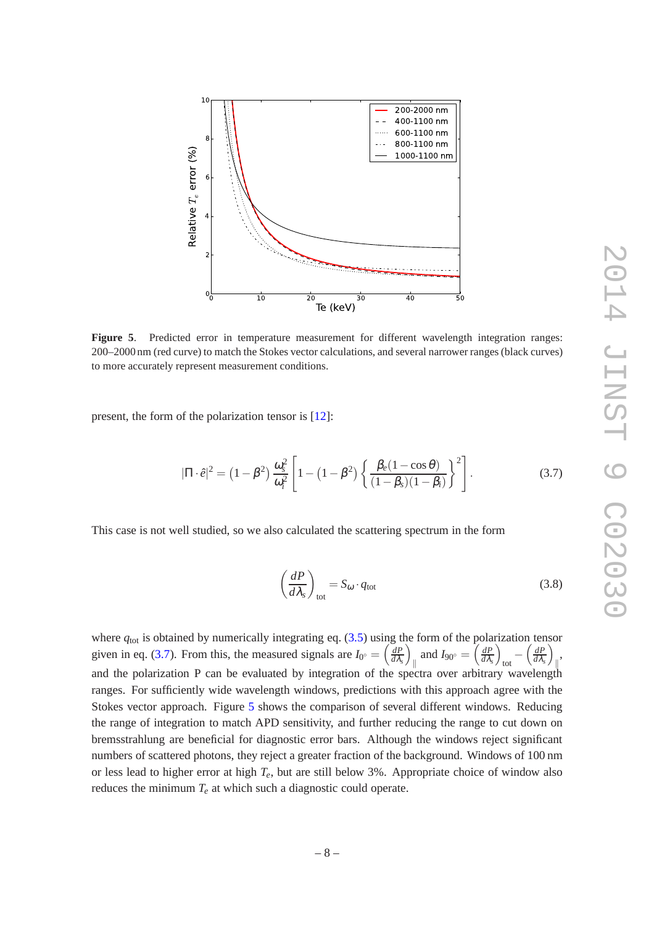

<span id="page-9-1"></span>**Figure 5**. Predicted error in temperature measurement for different wavelength integration ranges: 200–2000 nm (red curve) to match the Stokes vector calculations, and several narrower ranges (black curves) to more accurately represent measurement conditions.

present, the form of the polarization tensor is [\[12\]](#page-11-11):

<span id="page-9-0"></span>
$$
|\Pi \cdot \hat{e}|^2 = \left(1 - \beta^2\right) \frac{\omega_s^2}{\omega_i^2} \left[1 - \left(1 - \beta^2\right) \left\{\frac{\beta_e (1 - \cos \theta)}{(1 - \beta_s)(1 - \beta_i)}\right\}^2\right].
$$
 (3.7)

This case is not well studied, so we also calculated the scattering spectrum in the form

$$
\left(\frac{dP}{d\lambda_s}\right)_{\text{tot}} = S_{\omega} \cdot q_{\text{tot}} \tag{3.8}
$$

where  $q_{\text{tot}}$  is obtained by numerically integrating eq. [\(3.5\)](#page-8-1) using the form of the polarization tensor given in eq. [\(3.7\)](#page-9-0). From this, the measured signals are  $I_0 = \left(\frac{dP}{d\lambda}\right)$  $\frac{dP}{d\lambda_s}$ k and  $I_{90°} = \left(\frac{dP}{d\lambda}\right)$  $\frac{dP}{d\lambda_s}$  $_{\text{tot}}$  -  $\left(\frac{dP}{d\lambda_{s}}\right)$  $\frac{dP}{d\lambda_s}$ k , and the polarization P can be evaluated by integration of the spectra over arbitrary wavelength ranges. For sufficiently wide wavelength windows, predictions with this approach agree with the Stokes vector approach. Figure [5](#page-9-1) shows the comparison of several different windows. Reducing the range of integration to match APD sensitivity, and further reducing the range to cut down on bremsstrahlung are beneficial for diagnostic error bars. Although the windows reject significant numbers of scattered photons, they reject a greater fraction of the background. Windows of 100 nm or less lead to higher error at high *Te*, but are still below 3%. Appropriate choice of window also reduces the minimum  $T_e$  at which such a diagnostic could operate.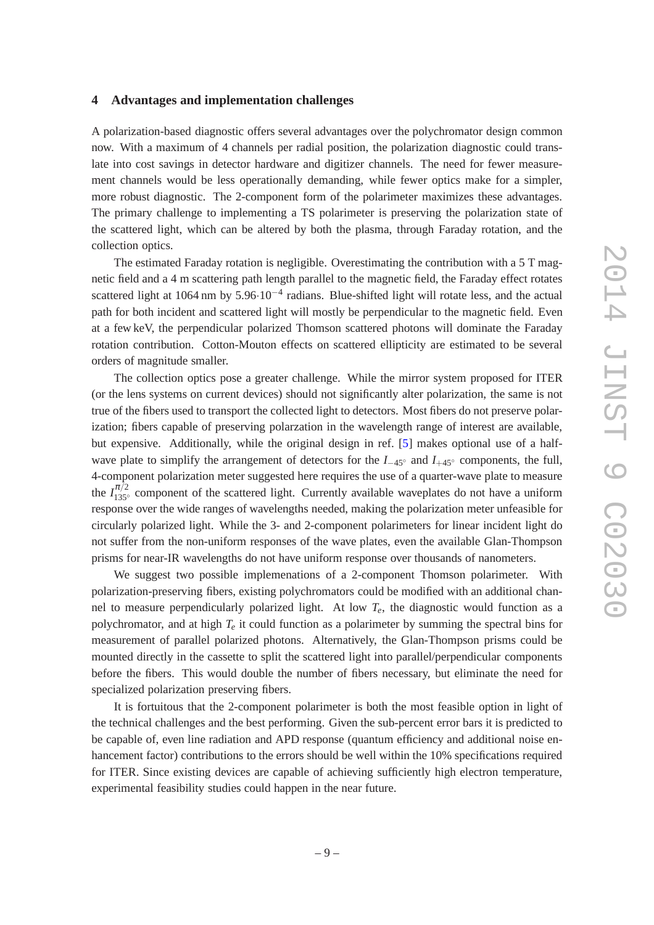#### <span id="page-10-0"></span>**4 Advantages and implementation challenges**

A polarization-based diagnostic offers several advantages over the polychromator design common now. With a maximum of 4 channels per radial position, the polarization diagnostic could translate into cost savings in detector hardware and digitizer channels. The need for fewer measurement channels would be less operationally demanding, while fewer optics make for a simpler, more robust diagnostic. The 2-component form of the polarimeter maximizes these advantages. The primary challenge to implementing a TS polarimeter is preserving the polarization state of the scattered light, which can be altered by both the plasma, through Faraday rotation, and the collection optics.

The estimated Faraday rotation is negligible. Overestimating the contribution with a 5 T magnetic field and a 4 m scattering path length parallel to the magnetic field, the Faraday effect rotates scattered light at 1064 nm by 5.96·10<sup>-4</sup> radians. Blue-shifted light will rotate less, and the actual path for both incident and scattered light will mostly be perpendicular to the magnetic field. Even at a few keV, the perpendicular polarized Thomson scattered photons will dominate the Faraday rotation contribution. Cotton-Mouton effects on scattered ellipticity are estimated to be several orders of magnitude smaller.

The collection optics pose a greater challenge. While the mirror system proposed for ITER (or the lens systems on current devices) should not significantly alter polarization, the same is not true of the fibers used to transport the collected light to detectors. Most fibers do not preserve polarization; fibers capable of preserving polarzation in the wavelength range of interest are available, but expensive. Additionally, while the original design in ref. [\[5\]](#page-11-4) makes optional use of a halfwave plate to simplify the arrangement of detectors for the *I*−45◦ and *I*+45◦ components, the full, 4-component polarization meter suggested here requires the use of a quarter-wave plate to measure the  $I_{135\degree}^{\pi/2}$  component of the scattered light. Currently available waveplates do not have a uniform response over the wide ranges of wavelengths needed, making the polarization meter unfeasible for circularly polarized light. While the 3- and 2-component polarimeters for linear incident light do not suffer from the non-uniform responses of the wave plates, even the available Glan-Thompson prisms for near-IR wavelengths do not have uniform response over thousands of nanometers.

We suggest two possible implemenations of a 2-component Thomson polarimeter. With polarization-preserving fibers, existing polychromators could be modified with an additional channel to measure perpendicularly polarized light. At low  $T_e$ , the diagnostic would function as a polychromator, and at high  $T_e$  it could function as a polarimeter by summing the spectral bins for measurement of parallel polarized photons. Alternatively, the Glan-Thompson prisms could be mounted directly in the cassette to split the scattered light into parallel/perpendicular components before the fibers. This would double the number of fibers necessary, but eliminate the need for specialized polarization preserving fibers.

It is fortuitous that the 2-component polarimeter is both the most feasible option in light of the technical challenges and the best performing. Given the sub-percent error bars it is predicted to be capable of, even line radiation and APD response (quantum efficiency and additional noise enhancement factor) contributions to the errors should be well within the 10% specifications required for ITER. Since existing devices are capable of achieving sufficiently high electron temperature, experimental feasibility studies could happen in the near future.